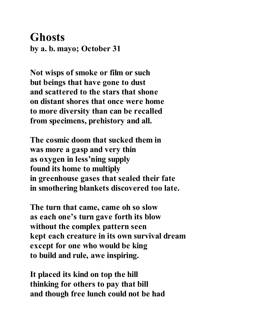## **Ghosts by a. b. mayo; October 31**

**Not wisps of smoke or film or such but beings that have gone to dust and scattered to the stars that shone on distant shores that once were home to more diversity than can be recalled from specimens, prehistory and all.**

**The cosmic doom that sucked them in was more a gasp and very thin as oxygen in less'ning supply found its home to multiply in greenhouse gases that sealed their fate in smothering blankets discovered too late.**

**The turn that came, came oh so slow as each one's turn gave forth its blow without the complex pattern seen kept each creature in its own survival dream except for one who would be king to build and rule, awe inspiring.**

**It placed its kind on top the hill thinking for others to pay that bill and though free lunch could not be had**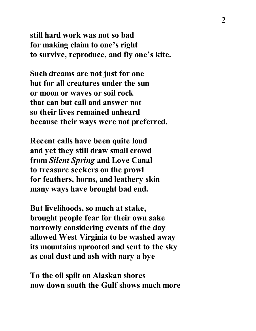**still hard work was not so bad for making claim to one's right to survive, reproduce, and fly one's kite.**

**Such dreams are not just for one but for all creatures under the sun or moon or waves or soil rock that can but call and answer not so their lives remained unheard because their ways were not preferred.**

**Recent calls have been quite loud and yet they still draw small crowd from** *Silent Spring* **and Love Canal to treasure seekers on the prowl for feathers, horns, and leathery skin many ways have brought bad end.**

**But livelihoods, so much at stake, brought people fear for their own sake narrowly considering events of the day allowed West Virginia to be washed away its mountains uprooted and sent to the sky as coal dust and ash with nary a bye**

**To the oil spilt on Alaskan shores now down south the Gulf shows much more**